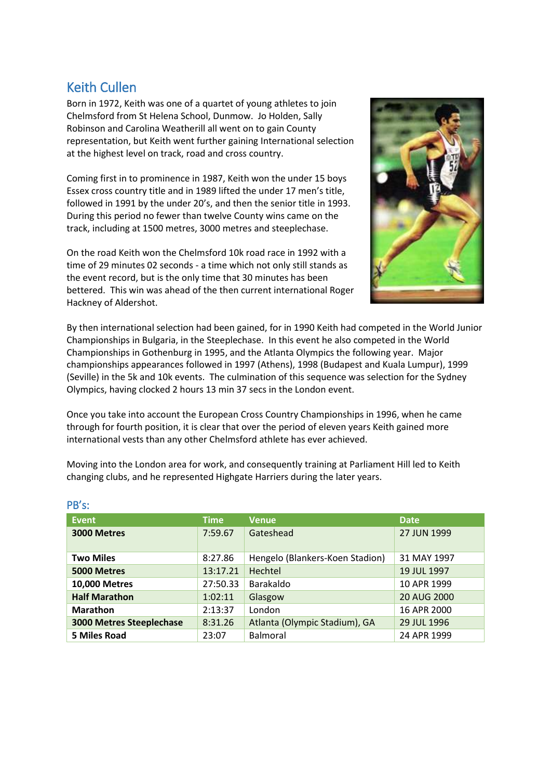## Keith Cullen

Born in 1972, Keith was one of a quartet of young athletes to join Chelmsford from St Helena School, Dunmow. Jo Holden, Sally Robinson and Carolina Weatherill all went on to gain County representation, but Keith went further gaining International selection at the highest level on track, road and cross country.

Coming first in to prominence in 1987, Keith won the under 15 boys Essex cross country title and in 1989 lifted the under 17 men's title, followed in 1991 by the under 20's, and then the senior title in 1993. During this period no fewer than twelve County wins came on the track, including at 1500 metres, 3000 metres and steeplechase.

On the road Keith won the Chelmsford 10k road race in 1992 with a time of 29 minutes 02 seconds - a time which not only still stands as the event record, but is the only time that 30 minutes has been bettered. This win was ahead of the then current international Roger Hackney of Aldershot.



By then international selection had been gained, for in 1990 Keith had competed in the World Junior Championships in Bulgaria, in the Steeplechase. In this event he also competed in the World Championships in Gothenburg in 1995, and the Atlanta Olympics the following year. Major championships appearances followed in 1997 (Athens), 1998 (Budapest and Kuala Lumpur), 1999 (Seville) in the 5k and 10k events. The culmination of this sequence was selection for the Sydney Olympics, having clocked 2 hours 13 min 37 secs in the London event.

Once you take into account the European Cross Country Championships in 1996, when he came through for fourth position, it is clear that over the period of eleven years Keith gained more international vests than any other Chelmsford athlete has ever achieved.

Moving into the London area for work, and consequently training at Parliament Hill led to Keith changing clubs, and he represented Highgate Harriers during the later years.

| Event                           | <b>Time</b> | <b>Venue</b>                    | Date,       |
|---------------------------------|-------------|---------------------------------|-------------|
| 3000 Metres                     | 7:59.67     | Gateshead                       | 27 JUN 1999 |
| <b>Two Miles</b>                | 8:27.86     | Hengelo (Blankers-Koen Stadion) | 31 MAY 1997 |
| 5000 Metres                     | 13:17.21    | Hechtel                         | 19 JUL 1997 |
| <b>10,000 Metres</b>            | 27:50.33    | Barakaldo                       | 10 APR 1999 |
| <b>Half Marathon</b>            | 1:02:11     | Glasgow                         | 20 AUG 2000 |
| <b>Marathon</b>                 | 2:13:37     | London                          | 16 APR 2000 |
| <b>3000 Metres Steeplechase</b> | 8:31.26     | Atlanta (Olympic Stadium), GA   | 29 JUL 1996 |
| 5 Miles Road                    | 23:07       | <b>Balmoral</b>                 | 24 APR 1999 |

## PB's: